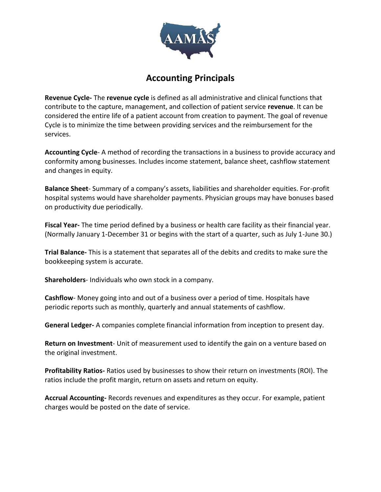

## **Accounting Principals**

**Revenue Cycle-** The **revenue cycle** is defined as all administrative and clinical functions that contribute to the capture, management, and collection of patient service **revenue**. It can be considered the entire life of a patient account from creation to payment. The goal of revenue Cycle is to minimize the time between providing services and the reimbursement for the services.

**Accounting Cycle**- A method of recording the transactions in a business to provide accuracy and conformity among businesses. Includes income statement, balance sheet, cashflow statement and changes in equity.

**Balance Sheet**- Summary of a company's assets, liabilities and shareholder equities. For-profit hospital systems would have shareholder payments. Physician groups may have bonuses based on productivity due periodically.

**Fiscal Year-** The time period defined by a business or health care facility as their financial year. (Normally January 1-December 31 or begins with the start of a quarter, such as July 1-June 30.)

**Trial Balance-** This is a statement that separates all of the debits and credits to make sure the bookkeeping system is accurate.

**Shareholders**- Individuals who own stock in a company.

**Cashflow**- Money going into and out of a business over a period of time. Hospitals have periodic reports such as monthly, quarterly and annual statements of cashflow.

**General Ledger-** A companies complete financial information from inception to present day.

**Return on Investment**- Unit of measurement used to identify the gain on a venture based on the original investment.

**Profitability Ratios-** Ratios used by businesses to show their return on investments (ROI). The ratios include the profit margin, return on assets and return on equity.

**Accrual Accounting-** Records revenues and expenditures as they occur. For example, patient charges would be posted on the date of service.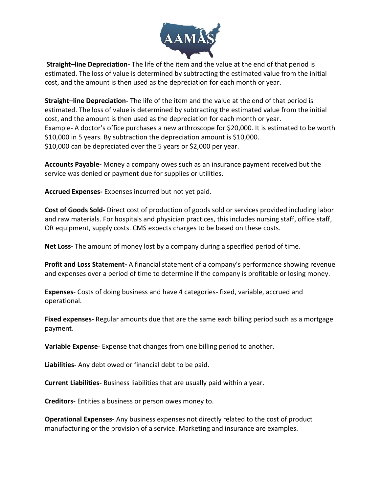

**Straight–line Depreciation-** The life of the item and the value at the end of that period is estimated. The loss of value is determined by subtracting the estimated value from the initial cost, and the amount is then used as the depreciation for each month or year.

**Straight–line Depreciation-** The life of the item and the value at the end of that period is estimated. The loss of value is determined by subtracting the estimated value from the initial cost, and the amount is then used as the depreciation for each month or year. Example- A doctor's office purchases a new arthroscope for \$20,000. It is estimated to be worth \$10,000 in 5 years. By subtraction the depreciation amount is \$10,000. \$10,000 can be depreciated over the 5 years or \$2,000 per year.

**Accounts Payable-** Money a company owes such as an insurance payment received but the service was denied or payment due for supplies or utilities.

**Accrued Expenses-** Expenses incurred but not yet paid.

**Cost of Goods Sold-** Direct cost of production of goods sold or services provided including labor and raw materials. For hospitals and physician practices, this includes nursing staff, office staff, OR equipment, supply costs. CMS expects charges to be based on these costs.

**Net Loss-** The amount of money lost by a company during a specified period of time.

**Profit and Loss Statement-** A financial statement of a company's performance showing revenue and expenses over a period of time to determine if the company is profitable or losing money.

**Expenses**- Costs of doing business and have 4 categories- fixed, variable, accrued and operational.

**Fixed expenses-** Regular amounts due that are the same each billing period such as a mortgage payment.

**Variable Expense**- Expense that changes from one billing period to another.

**Liabilities-** Any debt owed or financial debt to be paid.

**Current Liabilities-** Business liabilities that are usually paid within a year.

**Creditors-** Entities a business or person owes money to.

**Operational Expenses-** Any business expenses not directly related to the cost of product manufacturing or the provision of a service. Marketing and insurance are examples.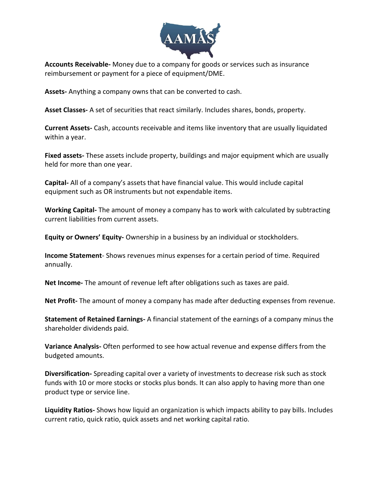

**Accounts Receivable-** Money due to a company for goods or services such as insurance reimbursement or payment for a piece of equipment/DME.

**Assets-** Anything a company owns that can be converted to cash.

**Asset Classes-** A set of securities that react similarly. Includes shares, bonds, property.

**Current Assets-** Cash, accounts receivable and items like inventory that are usually liquidated within a year.

**Fixed assets-** These assets include property, buildings and major equipment which are usually held for more than one year.

**Capital-** All of a company's assets that have financial value. This would include capital equipment such as OR instruments but not expendable items.

**Working Capital-** The amount of money a company has to work with calculated by subtracting current liabilities from current assets.

**Equity or Owners' Equity-** Ownership in a business by an individual or stockholders.

**Income Statement**- Shows revenues minus expenses for a certain period of time. Required annually.

**Net Income-** The amount of revenue left after obligations such as taxes are paid.

**Net Profit-** The amount of money a company has made after deducting expenses from revenue.

**Statement of Retained Earnings-** A financial statement of the earnings of a company minus the shareholder dividends paid.

**Variance Analysis-** Often performed to see how actual revenue and expense differs from the budgeted amounts.

**Diversification-** Spreading capital over a variety of investments to decrease risk such as stock funds with 10 or more stocks or stocks plus bonds. It can also apply to having more than one product type or service line.

**Liquidity Ratios-** Shows how liquid an organization is which impacts ability to pay bills. Includes current ratio, quick ratio, quick assets and net working capital ratio.